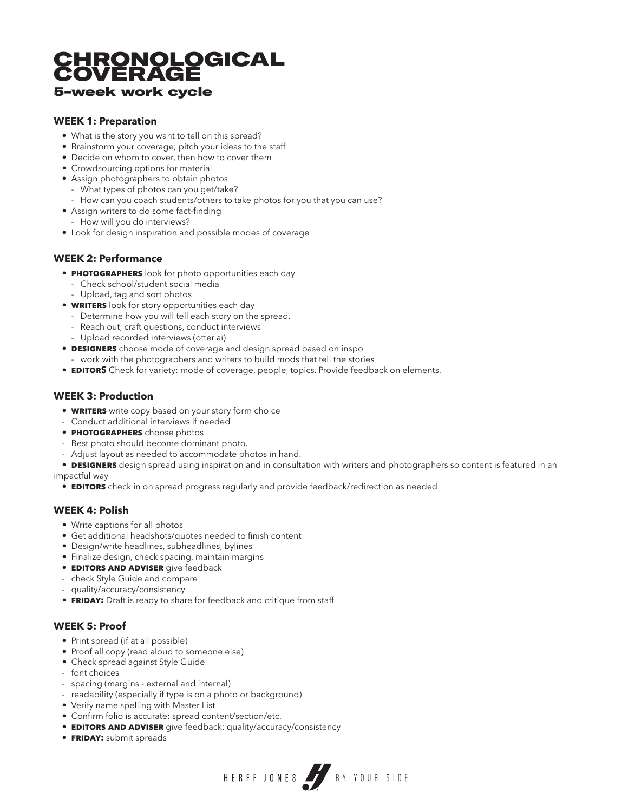### CHRONOLOGICAL **COVERAGE** 5-week work cycle

#### **WEEK 1: Preparation**

- What is the story you want to tell on this spread?
- Brainstorm your coverage; pitch your ideas to the staff
- Decide on whom to cover, then how to cover them
- Crowdsourcing options for material
- Assign photographers to obtain photos
	- What types of photos can you get/take?
- How can you coach students/others to take photos for you that you can use?
- Assign writers to do some fact-finding
	- How will you do interviews?
- Look for design inspiration and possible modes of coverage

#### **WEEK 2: Performance**

- **PHOTOGRAPHERS** look for photo opportunities each day
	- Check school/student social media
	- Upload, tag and sort photos
- **WRITERS** look for story opportunities each day
	- Determine how you will tell each story on the spread.
	- Reach out, craft questions, conduct interviews
	- Upload recorded interviews (otter.ai)
- **designers** choose mode of coverage and design spread based on inspo - work with the photographers and writers to build mods that tell the stories
- **EDITORS** Check for variety: mode of coverage, people, topics. Provide feedback on elements.

#### **WEEK 3: Production**

- **WRITERS** write copy based on your story form choice
- Conduct additional interviews if needed
- **photographers** choose photos
- Best photo should become dominant photo.
- Adjust layout as needed to accommodate photos in hand.
- **DESIGNERS** design spread using inspiration and in consultation with writers and photographers so content is featured in an impactful way

HERFF JONES BY YOUR SIDE

**• EDITORS** check in on spread progress regularly and provide feedback/redirection as needed

#### **WEEK 4: Polish**

- Write captions for all photos
- Get additional headshots/quotes needed to finish content
- Design/write headlines, subheadlines, bylines
- Finalize design, check spacing, maintain margins
- **editors and adviser** give feedback
- check Style Guide and compare
- quality/accuracy/consistency
- **FRIDAY:** Draft is ready to share for feedback and critique from staff

#### **WEEK 5: Proof**

- Print spread (if at all possible)
- Proof all copy (read aloud to someone else)
- Check spread against Style Guide
- font choices
- spacing (margins external and internal)
- readability (especially if type is on a photo or background)
- Verify name spelling with Master List
- • Confirm folio is accurate: spread content/section/etc.
- **EDITORS AND ADVISER** give feedback: quality/accuracy/consistency
- **friday:** submit spreads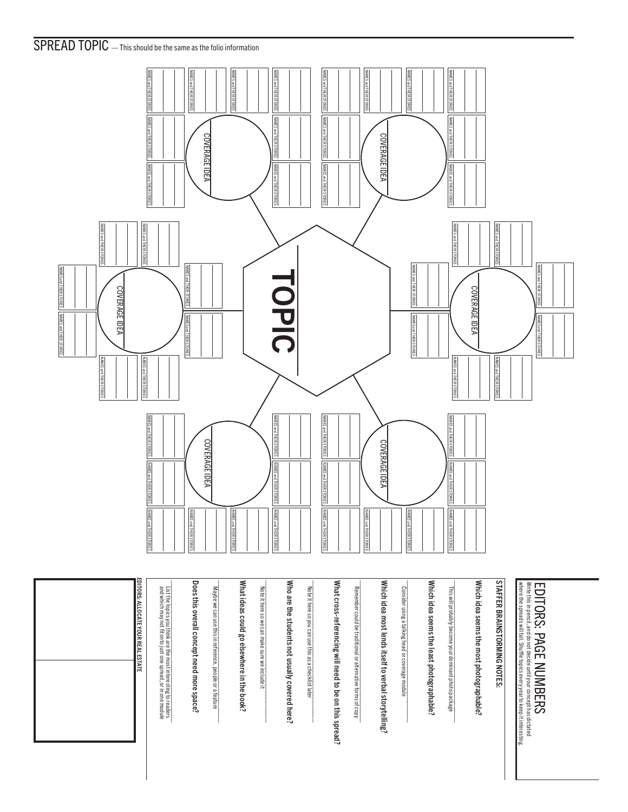## SPREAD TOPIC — This should be the same as the folio information



EDITORS: ALLOCATE YOUR REAL ESTATE and which may not fit onto just one spread, or in one module List the topics you think are the most interesting to readers \_\_\_\_\_\_\_\_\_\_\_\_\_\_\_\_\_\_\_\_\_\_\_\_\_\_\_\_\_\_\_\_\_\_\_\_\_\_\_\_\_\_ Does this overall concept need more space? Maybe we can use this in reference, people or a feature \_\_\_\_\_\_\_\_\_\_\_\_\_\_\_\_\_\_\_\_\_\_\_\_\_\_\_\_\_\_\_\_\_\_\_\_\_\_\_\_\_\_ What ideas could go elsewhere in the book? Who are the students not usually covered here? What cross-referencing will need to be on this spread? Which idea most lends itself to verbal storytelling? Which idea seems the least photographable? Which idea seems the most photographable? **STAFFER BRAINSTORMING NOTES:** DITORS: ALLOCATE YOUR REAL ESTATE Note it here so we can make sure we include it Who are the students not usually covered here? Note it here so you can use this as a checklist later What cross-referencing will need to be on this spread? Remember could be traditional or alternative forms of copy Which idea most lends itself to verbal storytelling? Consider using a talking head or coverage module Which idea seems the least photographable? This will probably become your dominant photo package Which idea seems the most photographable? STAFFER BRAINSTORMING NOTES: Write this in pencil, and do not decide until your concept has dictated<br>where the spreads will fall. Shuffle topics every year to keep it interesting EDITORS: PAGE NUMBERS where the spreads will fall. Shuffle topics every year to keep it interesting. Write this in pencil, and do not decide until your concept has dictated EDITORS: PAGE NUMBERS Note it here so we can make sure we include it Note it here so you can use this as a checklist later Remember could be traditional or alternative forms of copy Consider using a talking head or coverage module This will probably become your dominant photo package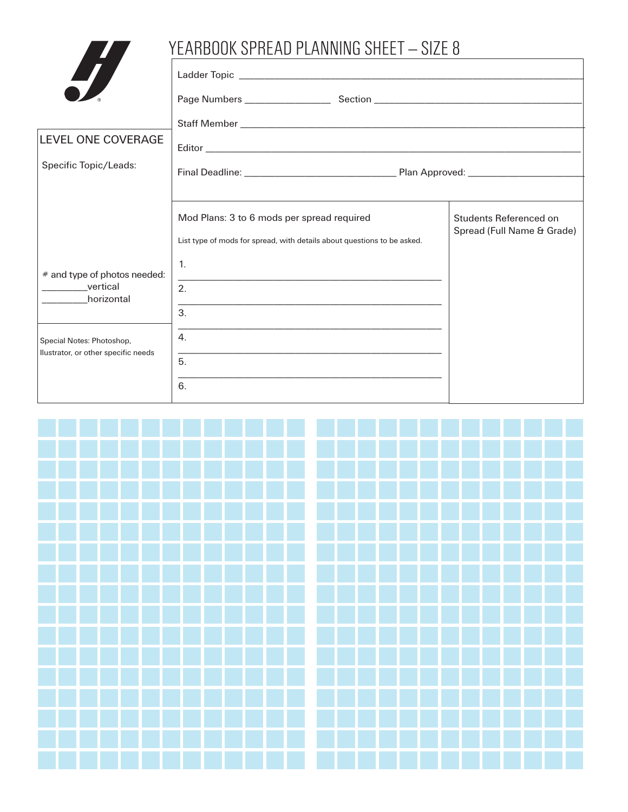## YEARBOOK SPREAD PLANNING SHEET - SIZE 8 **TA**

| $\overline{\phantom{a}}$                                                 |                                                                                                                                    |                                                      |  |  |
|--------------------------------------------------------------------------|------------------------------------------------------------------------------------------------------------------------------------|------------------------------------------------------|--|--|
|                                                                          |                                                                                                                                    |                                                      |  |  |
| LEVEL ONE COVERAGE                                                       |                                                                                                                                    |                                                      |  |  |
| Specific Topic/Leads:                                                    |                                                                                                                                    |                                                      |  |  |
|                                                                          | Mod Plans: 3 to 6 mods per spread required<br>List type of mods for spread, with details about questions to be asked.              | Students Referenced on<br>Spread (Full Name & Grade) |  |  |
| # and type of photos needed:<br><b>Example 12</b> vertical<br>horizontal | $1_{-}$<br>2.<br><u> 1989 - Johann Stoff, amerikansk politiker (* 1908)</u><br>3.                                                  |                                                      |  |  |
| Special Notes: Photoshop,<br>Ilustrator, or other specific needs         | <u> 1980 - Johann John Stoff, deutscher Stoffen und der Stoffen und der Stoffen und der Stoffen und der Stoffen un</u><br>4.<br>5. |                                                      |  |  |
|                                                                          | 6.                                                                                                                                 |                                                      |  |  |

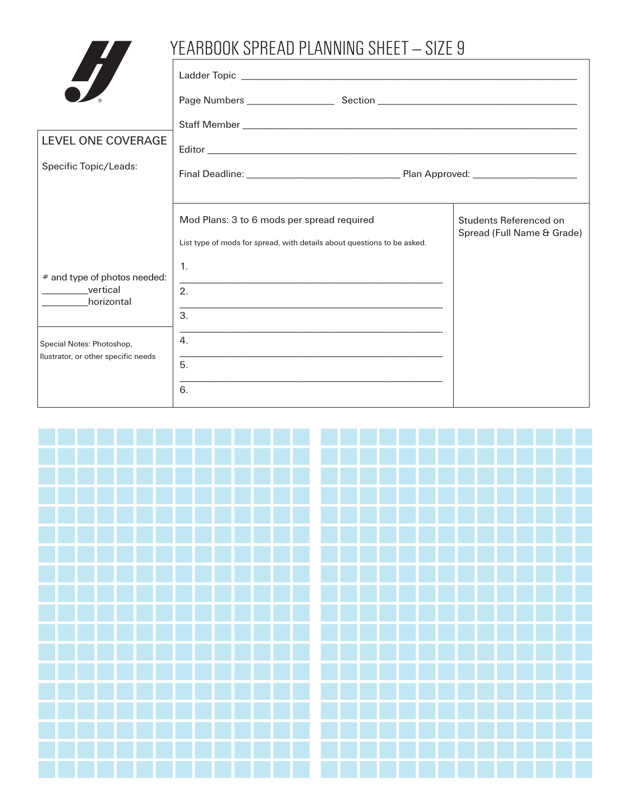|                                     | YEARBOOK SPREAD PLANNING SHEET - SIZE 9                                                                               |                                                      |
|-------------------------------------|-----------------------------------------------------------------------------------------------------------------------|------------------------------------------------------|
| H                                   |                                                                                                                       |                                                      |
|                                     |                                                                                                                       |                                                      |
|                                     |                                                                                                                       |                                                      |
| LEVEL ONE COVERAGE                  |                                                                                                                       |                                                      |
| Specific Topic/Leads:               |                                                                                                                       |                                                      |
|                                     | Mod Plans: 3 to 6 mods per spread required<br>List type of mods for spread, with details about questions to be asked. | Students Referenced on<br>Spread (Full Name & Grade) |
| # and type of photos needed:        | $\mathbf{1}$ .                                                                                                        |                                                      |
| __________vertical<br>horizontal    | 2.                                                                                                                    |                                                      |
|                                     | 3.                                                                                                                    |                                                      |
| Special Notes: Photoshop,           | <u> 1989 - Johann Stoff, amerikansk politiker (* 1908)</u><br>4 <sub>1</sub>                                          |                                                      |
| Ilustrator, or other specific needs | 5.                                                                                                                    |                                                      |
|                                     | 6.                                                                                                                    |                                                      |

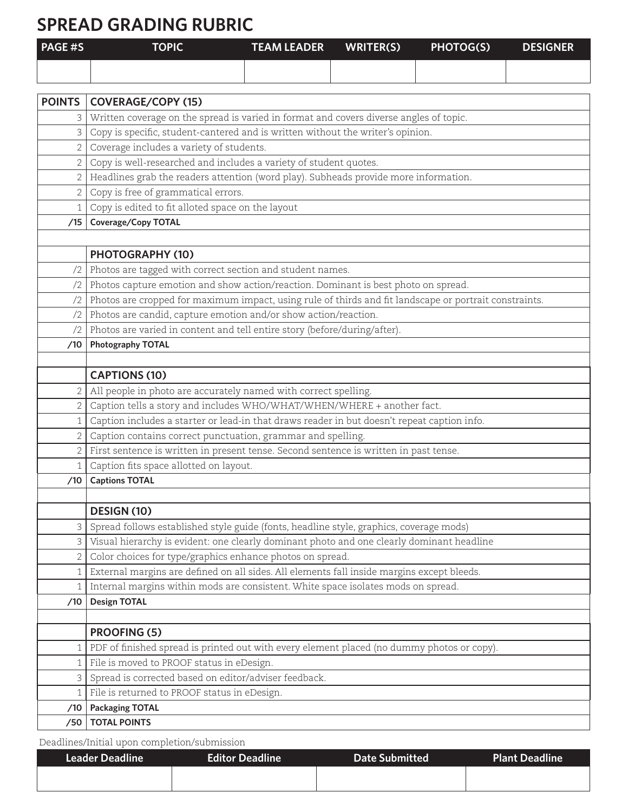## **SPREAD GRADING RUBRIC**

| <b>PAGE#S</b> | <b>TOPIC</b> | <b>TEAM LEADER</b> | WRITER(S) | <b>PHOTOG(S)</b> | <b>DESIGNER</b> |
|---------------|--------------|--------------------|-----------|------------------|-----------------|
|               |              |                    |           |                  |                 |

| <b>POINTS</b>  | <b>COVERAGE/COPY (15)</b>                                                                              |
|----------------|--------------------------------------------------------------------------------------------------------|
|                | Written coverage on the spread is varied in format and covers diverse angles of topic.                 |
| 3              | Copy is specific, student-cantered and is written without the writer's opinion.                        |
| 2              | Coverage includes a variety of students.                                                               |
| $\overline{2}$ | Copy is well-researched and includes a variety of student quotes.                                      |
| $\overline{2}$ | Headlines grab the readers attention (word play). Subheads provide more information.                   |
| 2              | Copy is free of grammatical errors.                                                                    |
| $\mathbf{1}$   | Copy is edited to fit alloted space on the layout                                                      |
| /15            | Coverage/Copy TOTAL                                                                                    |
|                |                                                                                                        |
|                | PHOTOGRAPHY (10)                                                                                       |
| /2             | Photos are tagged with correct section and student names.                                              |
| /2             | Photos capture emotion and show action/reaction. Dominant is best photo on spread.                     |
| /2             | Photos are cropped for maximum impact, using rule of thirds and fit landscape or portrait constraints. |
| /2             | Photos are candid, capture emotion and/or show action/reaction.                                        |
| /2             | Photos are varied in content and tell entire story (before/during/after).                              |
| /10            | <b>Photography TOTAL</b>                                                                               |
|                |                                                                                                        |
|                | <b>CAPTIONS (10)</b>                                                                                   |
| $\mathbf{2}$   | All people in photo are accurately named with correct spelling.                                        |
| 2              | Caption tells a story and includes WHO/WHAT/WHEN/WHERE + another fact.                                 |
| 1              | Caption includes a starter or lead-in that draws reader in but doesn't repeat caption info.            |
|                | Caption contains correct punctuation, grammar and spelling.                                            |
|                | First sentence is written in present tense. Second sentence is written in past tense.                  |
| $\mathbf{1}$   | Caption fits space allotted on layout.                                                                 |
| /10            | <b>Captions TOTAL</b>                                                                                  |
|                |                                                                                                        |
|                | DESIGN (10)                                                                                            |
| 3              | Spread follows established style guide (fonts, headline style, graphics, coverage mods)                |
| 3              | Visual hierarchy is evident: one clearly dominant photo and one clearly dominant headline              |
| 2              | Color choices for type/graphics enhance photos on spread.                                              |
| 1              | External margins are defined on all sides. All elements fall inside margins except bleeds.             |
| 1              | Internal margins within mods are consistent. White space isolates mods on spread.                      |
| /10            | <b>Design TOTAL</b>                                                                                    |
|                |                                                                                                        |
|                | <b>PROOFING (5)</b>                                                                                    |
|                | PDF of finished spread is printed out with every element placed (no dummy photos or copy).             |
| 1              | File is moved to PROOF status in eDesign.                                                              |
| 3              | Spread is corrected based on editor/adviser feedback.                                                  |
| 1              | File is returned to PROOF status in eDesign.                                                           |
| /10            | <b>Packaging TOTAL</b>                                                                                 |
| /50            | <b>TOTAL POINTS</b>                                                                                    |

Deadlines/Initial upon completion/submission

| <b>Leader Deadline</b> | <b>Editor Deadline</b> | <b>Date Submitted</b> | Plant Deadline |
|------------------------|------------------------|-----------------------|----------------|
|                        |                        |                       |                |
|                        |                        |                       |                |